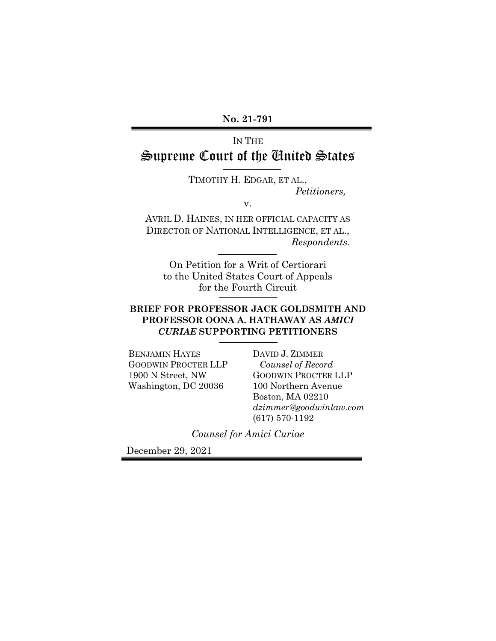# IN THE Supreme Court of the United States

TIMOTHY H. EDGAR, ET AL., *Petitioners,* 

v.

AVRIL D. HAINES, IN HER OFFICIAL CAPACITY AS DIRECTOR OF NATIONAL INTELLIGENCE, ET AL., *Respondents*.

On Petition for a Writ of Certiorari to the United States Court of Appeals for the Fourth Circuit

## **BRIEF FOR PROFESSOR JACK GOLDSMITH AND PROFESSOR OONA A. HATHAWAY AS** *AMICI CURIAE* **SUPPORTING PETITIONERS**

BENJAMIN HAYES GOODWIN PROCTER LLP 1900 N Street, NW Washington, DC 20036

DAVID J. ZIMMER *Counsel of Record*  GOODWIN PROCTER LLP 100 Northern Avenue Boston, MA 02210 *dzimmer@goodwinlaw.com*  (617) 570-1192

*Counsel for Amici Curiae* 

December 29, 2021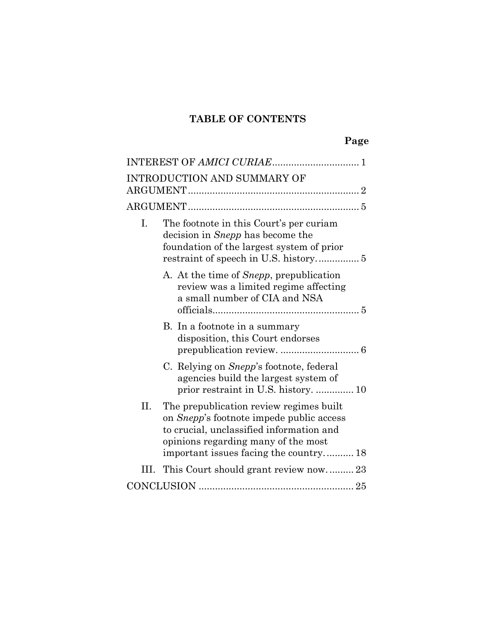# **TABLE OF CONTENTS**

|     | INTRODUCTION AND SUMMARY OF                                                                                                                                                                                              |
|-----|--------------------------------------------------------------------------------------------------------------------------------------------------------------------------------------------------------------------------|
|     |                                                                                                                                                                                                                          |
| I.  | The footnote in this Court's per curiam<br>decision in <i>Snepp</i> has become the<br>foundation of the largest system of prior                                                                                          |
|     | A. At the time of <i>Snepp</i> , prepublication<br>review was a limited regime affecting<br>a small number of CIA and NSA                                                                                                |
|     | B. In a footnote in a summary<br>disposition, this Court endorses                                                                                                                                                        |
|     | C. Relying on <i>Snepp</i> 's footnote, federal<br>agencies build the largest system of<br>prior restraint in U.S. history.  10                                                                                          |
| II. | The prepublication review regimes built<br>on <i>Snepp</i> 's footnote impede public access<br>to crucial, unclassified information and<br>opinions regarding many of the most<br>important issues facing the country 18 |
|     | III. This Court should grant review now 23                                                                                                                                                                               |
|     |                                                                                                                                                                                                                          |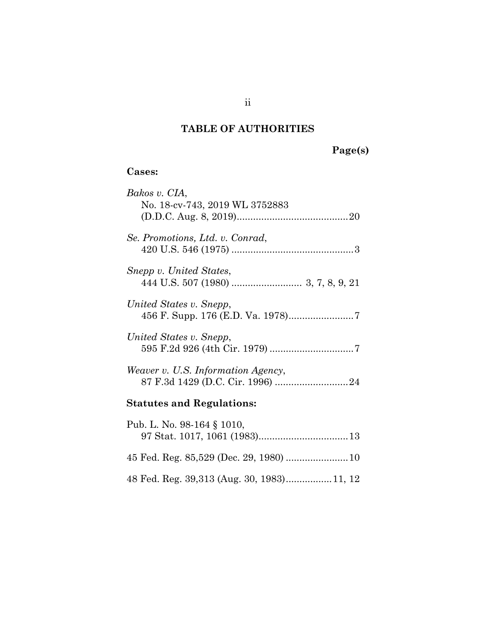# **TABLE OF AUTHORITIES**

# **Page(s)**

# **Cases:**

| Bakos v. CIA,                             |
|-------------------------------------------|
| No. 18-cv-743, 2019 WL 3752883            |
|                                           |
|                                           |
| Se. Promotions, Ltd. v. Conrad,           |
|                                           |
|                                           |
| Snepp v. United States,                   |
|                                           |
|                                           |
| United States v. Snepp,                   |
|                                           |
|                                           |
| United States v. Snepp,                   |
|                                           |
|                                           |
| <i>Weaver v. U.S. Information Agency,</i> |
|                                           |
|                                           |
| <b>Statutes and Regulations:</b>          |
|                                           |
| Pub. L. No. 98-164 § 1010,                |
|                                           |
|                                           |
|                                           |

48 Fed. Reg. 39,313 (Aug. 30, 1983) ................. 11, 12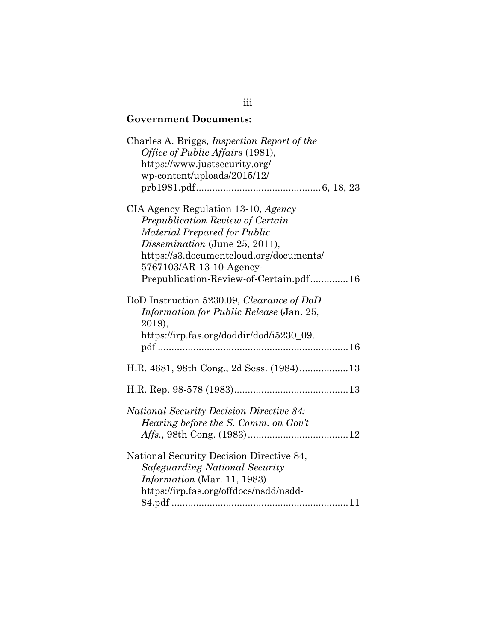# **Government Documents:**

| Charles A. Briggs, <i>Inspection Report of the</i><br>Office of Public Affairs (1981),<br>https://www.justsecurity.org/<br>wp-content/uploads/2015/12/                                                                                                     |
|------------------------------------------------------------------------------------------------------------------------------------------------------------------------------------------------------------------------------------------------------------|
| CIA Agency Regulation 13-10, Agency<br>Prepublication Review of Certain<br>Material Prepared for Public<br>Dissemination (June 25, 2011),<br>https://s3.documentcloud.org/documents/<br>5767103/AR-13-10-Agency-<br>Prepublication-Review-of-Certain.pdf16 |
| DoD Instruction 5230.09, Clearance of DoD<br>Information for Public Release (Jan. 25,<br>2019),<br>https://irp.fas.org/doddir/dod/i5230_09.                                                                                                                |
|                                                                                                                                                                                                                                                            |
|                                                                                                                                                                                                                                                            |
| <b>National Security Decision Directive 84:</b><br>Hearing before the S. Comm. on Gov't                                                                                                                                                                    |
| National Security Decision Directive 84,<br>Safeguarding National Security<br><i>Information</i> (Mar. 11, 1983)<br>https://irp.fas.org/offdocs/nsdd/nsdd-                                                                                                 |

# iii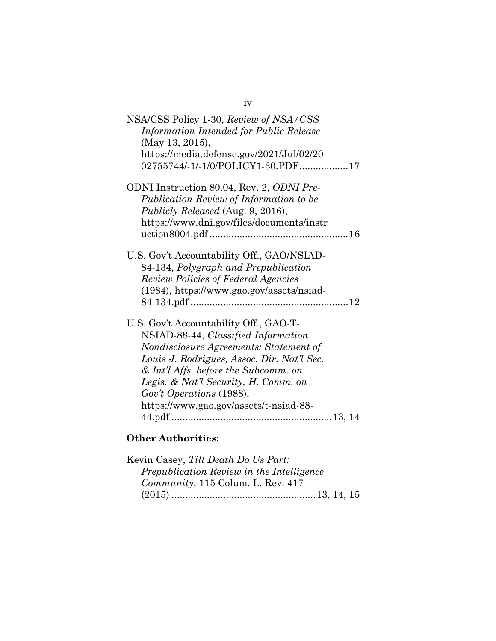| NSA/CSS Policy 1-30, Review of NSA/CSS<br>Information Intended for Public Release<br>(May 13, 2015),<br>https://media.defense.gov/2021/Jul/02/20<br>02755744/-1/-1/0/POLICY1-30.PDF17                                                                                                                                         |
|-------------------------------------------------------------------------------------------------------------------------------------------------------------------------------------------------------------------------------------------------------------------------------------------------------------------------------|
| ODNI Instruction 80.04, Rev. 2, ODNI Pre-<br>Publication Review of Information to be<br>Publicly Released (Aug. 9, 2016),<br>https://www.dni.gov/files/documents/instr                                                                                                                                                        |
| U.S. Gov't Accountability Off., GAO/NSIAD-<br>84-134, Polygraph and Prepublication<br><b>Review Policies of Federal Agencies</b><br>(1984), https://www.gao.gov/assets/nsiad-                                                                                                                                                 |
| U.S. Gov't Accountability Off., GAO-T-<br>NSIAD-88-44, Classified Information<br>Nondisclosure Agreements: Statement of<br>Louis J. Rodrigues, Assoc. Dir. Nat'l Sec.<br>$&$ Int'l Affs. before the Subcomm. on<br>Legis. & Nat'l Security, H. Comm. on<br>Gov't Operations (1988),<br>https://www.gao.gov/assets/t-nsiad-88- |
|                                                                                                                                                                                                                                                                                                                               |

iv

# **Other Authorities:**

| Kevin Casey, Till Death Do Us Part:       |  |
|-------------------------------------------|--|
| Prepublication Review in the Intelligence |  |
| Community, 115 Colum. L. Rev. 417         |  |
|                                           |  |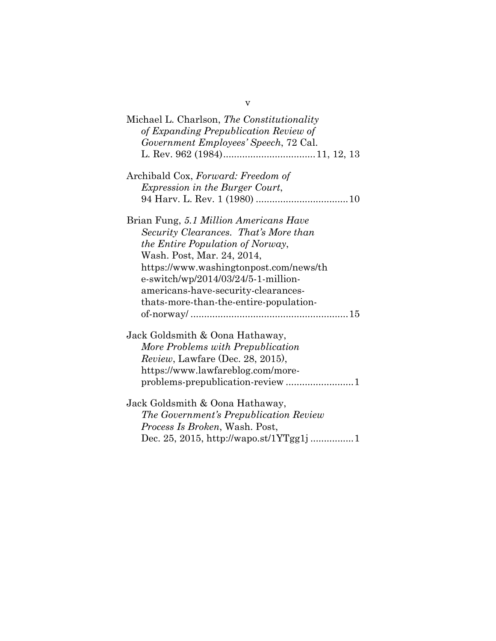v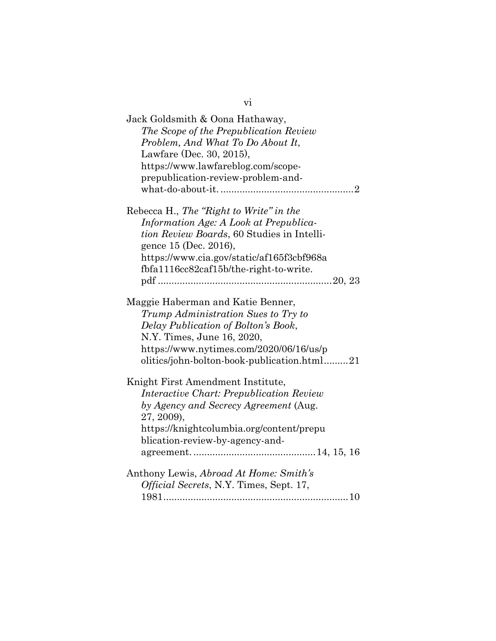| Jack Goldsmith & Oona Hathaway,<br>The Scope of the Prepublication Review<br>Problem, And What To Do About It,<br>Lawfare (Dec. 30, 2015),<br>https://www.lawfareblog.com/scope-<br>prepublication-review-problem-and-                  |
|-----------------------------------------------------------------------------------------------------------------------------------------------------------------------------------------------------------------------------------------|
| Rebecca H., The "Right to Write" in the                                                                                                                                                                                                 |
| Information Age: A Look at Prepublica-                                                                                                                                                                                                  |
| <i>tion Review Boards, 60 Studies in Intelli-</i>                                                                                                                                                                                       |
| gence 15 (Dec. 2016),                                                                                                                                                                                                                   |
| https://www.cia.gov/static/af165f3cbf968a                                                                                                                                                                                               |
| fbfa1116cc82caf15b/the-right-to-write.                                                                                                                                                                                                  |
|                                                                                                                                                                                                                                         |
| Maggie Haberman and Katie Benner,<br>Trump Administration Sues to Try to<br>Delay Publication of Bolton's Book,<br>N.Y. Times, June 16, 2020,<br>https://www.nytimes.com/2020/06/16/us/p<br>olitics/john-bolton-book-publication.html21 |
| Knight First Amendment Institute,                                                                                                                                                                                                       |
| <b>Interactive Chart: Prepublication Review</b>                                                                                                                                                                                         |
| by Agency and Secrecy Agreement (Aug.<br>27, 2009),                                                                                                                                                                                     |
| https://knightcolumbia.org/content/prepu                                                                                                                                                                                                |
| blication-review-by-agency-and-                                                                                                                                                                                                         |
|                                                                                                                                                                                                                                         |
| Anthony Lewis, Abroad At Home: Smith's<br>Official Secrets, N.Y. Times, Sept. 17,                                                                                                                                                       |
|                                                                                                                                                                                                                                         |

vi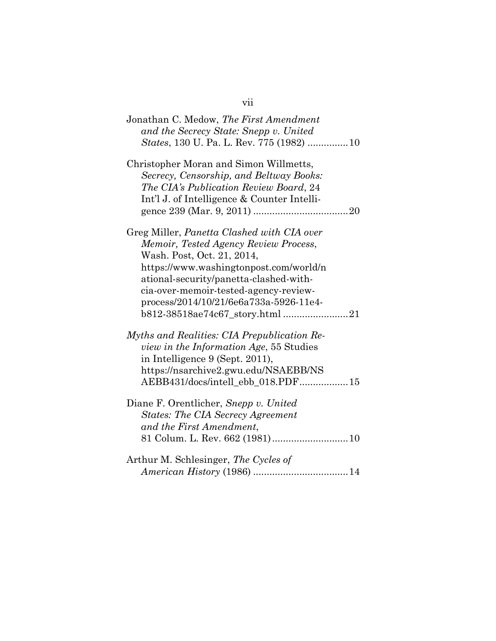| Jonathan C. Medow, The First Amendment           |
|--------------------------------------------------|
| and the Secrecy State: Snepp v. United           |
| <i>States</i> , 130 U. Pa. L. Rev. 775 (1982) 10 |
|                                                  |
| Christopher Moran and Simon Willmetts,           |
| Secrecy, Censorship, and Beltway Books:          |
| The CIA's Publication Review Board, 24           |
| Int'l J. of Intelligence & Counter Intelli-      |
|                                                  |
|                                                  |
| Greg Miller, Panetta Clashed with CIA over       |
| Memoir, Tested Agency Review Process,            |
| Wash. Post, Oct. 21, 2014,                       |
| https://www.washingtonpost.com/world/n           |
|                                                  |
| ational-security/panetta-clashed-with-           |
| cia-over-memoir-tested-agency-review-            |
| process/2014/10/21/6e6a733a-5926-11e4-           |
|                                                  |
| Myths and Realities: CIA Prepublication Re-      |
| <i>view in the Information Age</i> , 55 Studies  |
| in Intelligence 9 (Sept. 2011),                  |
|                                                  |
| https://nsarchive2.gwu.edu/NSAEBB/NS             |
| AEBB431/docs/intell_ebb_018.PDF15                |
| Diane F. Orentlicher, Snepp v. United            |
| <b>States: The CIA Secrecy Agreement</b>         |
| and the First Amendment,                         |
| 81 Colum. L. Rev. 662 (1981) 10                  |
|                                                  |
| Arthur M. Schlesinger, The Cycles of             |
|                                                  |
|                                                  |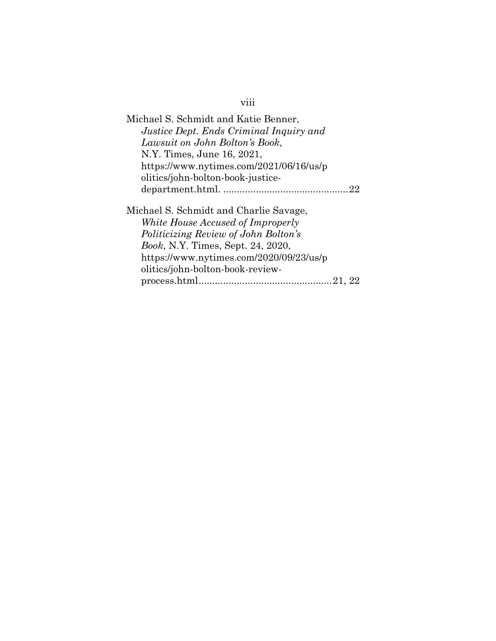| Michael S. Schmidt and Katie Benner,                                                                                                                                                                                                           |    |
|------------------------------------------------------------------------------------------------------------------------------------------------------------------------------------------------------------------------------------------------|----|
| Justice Dept. Ends Criminal Inquiry and                                                                                                                                                                                                        |    |
| Lawsuit on John Bolton's Book,                                                                                                                                                                                                                 |    |
| N.Y. Times, June 16, 2021,                                                                                                                                                                                                                     |    |
| https://www.nytimes.com/2021/06/16/us/p                                                                                                                                                                                                        |    |
| olitics/john-bolton-book-justice-                                                                                                                                                                                                              |    |
|                                                                                                                                                                                                                                                | 22 |
| Michael S. Schmidt and Charlie Savage,<br>White House Accused of Improperly<br>Politicizing Review of John Bolton's<br><i>Book, N.Y. Times, Sept. 24, 2020,</i><br>https://www.nytimes.com/2020/09/23/us/p<br>olitics/john-bolton-book-review- |    |
| process.html.                                                                                                                                                                                                                                  |    |

# viii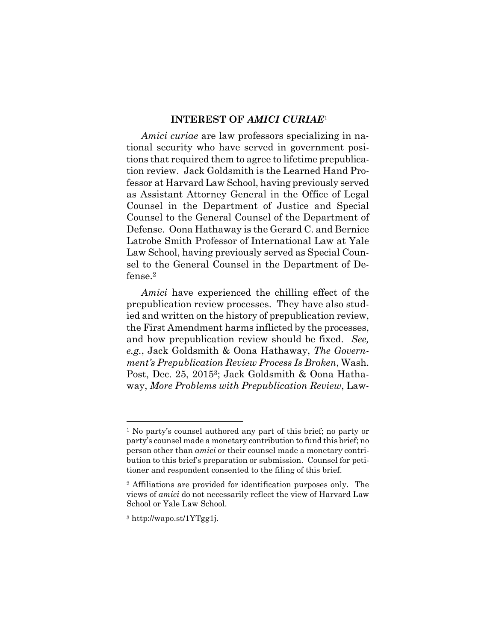#### **INTEREST OF** *AMICI CURIAE*<sup>1</sup>

*Amici curiae* are law professors specializing in national security who have served in government positions that required them to agree to lifetime prepublication review. Jack Goldsmith is the Learned Hand Professor at Harvard Law School, having previously served as Assistant Attorney General in the Office of Legal Counsel in the Department of Justice and Special Counsel to the General Counsel of the Department of Defense. Oona Hathaway is the Gerard C. and Bernice Latrobe Smith Professor of International Law at Yale Law School, having previously served as Special Counsel to the General Counsel in the Department of Defense.2

*Amici* have experienced the chilling effect of the prepublication review processes. They have also studied and written on the history of prepublication review, the First Amendment harms inflicted by the processes, and how prepublication review should be fixed. *See, e.g.*, Jack Goldsmith & Oona Hathaway, *The Government's Prepublication Review Process Is Broken*, Wash. Post, Dec. 25, 20153; Jack Goldsmith & Oona Hathaway, *More Problems with Prepublication Review*, Law-

<sup>1</sup> No party's counsel authored any part of this brief; no party or party's counsel made a monetary contribution to fund this brief; no person other than *amici* or their counsel made a monetary contribution to this brief's preparation or submission. Counsel for petitioner and respondent consented to the filing of this brief.

<sup>2</sup> Affiliations are provided for identification purposes only. The views of *amici* do not necessarily reflect the view of Harvard Law School or Yale Law School.

<sup>3</sup> http://wapo.st/1YTgg1j.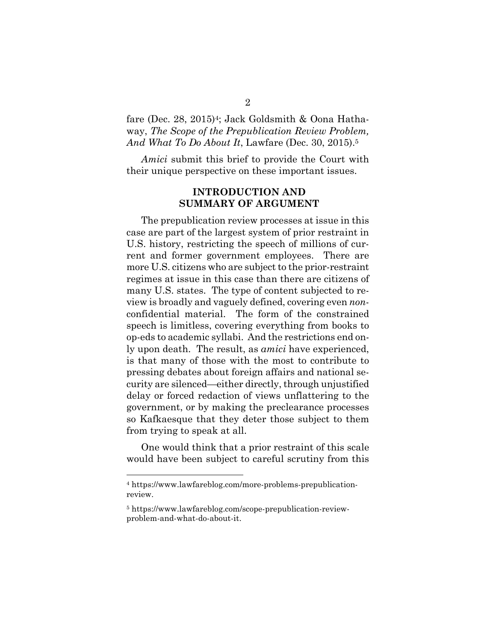fare (Dec. 28, 2015)<sup>4</sup>; Jack Goldsmith & Oona Hathaway, *The Scope of the Prepublication Review Problem, And What To Do About It*, Lawfare (Dec. 30, 2015).5

*Amici* submit this brief to provide the Court with their unique perspective on these important issues.

### **INTRODUCTION AND SUMMARY OF ARGUMENT**

The prepublication review processes at issue in this case are part of the largest system of prior restraint in U.S. history, restricting the speech of millions of current and former government employees. There are more U.S. citizens who are subject to the prior-restraint regimes at issue in this case than there are citizens of many U.S. states. The type of content subjected to review is broadly and vaguely defined, covering even *non*confidential material. The form of the constrained speech is limitless, covering everything from books to op-eds to academic syllabi. And the restrictions end only upon death. The result, as *amici* have experienced, is that many of those with the most to contribute to pressing debates about foreign affairs and national security are silenced—either directly, through unjustified delay or forced redaction of views unflattering to the government, or by making the preclearance processes so Kafkaesque that they deter those subject to them from trying to speak at all.

One would think that a prior restraint of this scale would have been subject to careful scrutiny from this

<sup>4</sup> https://www.lawfareblog.com/more-problems-prepublicationreview.

<sup>5</sup> https://www.lawfareblog.com/scope-prepublication-reviewproblem-and-what-do-about-it.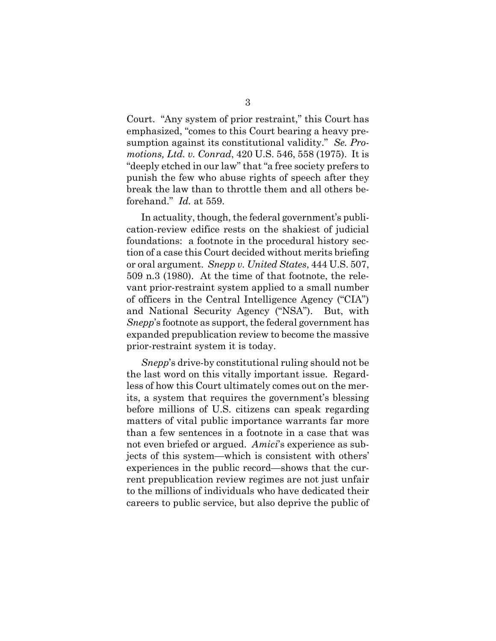Court. "Any system of prior restraint," this Court has emphasized, "comes to this Court bearing a heavy presumption against its constitutional validity." *Se. Promotions, Ltd. v. Conrad*, 420 U.S. 546, 558 (1975). It is "deeply etched in our law" that "a free society prefers to punish the few who abuse rights of speech after they break the law than to throttle them and all others beforehand." *Id.* at 559.

In actuality, though, the federal government's publication-review edifice rests on the shakiest of judicial foundations: a footnote in the procedural history section of a case this Court decided without merits briefing or oral argument. *Snepp v. United States*, 444 U.S. 507, 509 n.3 (1980). At the time of that footnote, the relevant prior-restraint system applied to a small number of officers in the Central Intelligence Agency ("CIA") and National Security Agency ("NSA"). But, with *Snepp*'s footnote as support, the federal government has expanded prepublication review to become the massive prior-restraint system it is today.

*Snepp*'s drive-by constitutional ruling should not be the last word on this vitally important issue. Regardless of how this Court ultimately comes out on the merits, a system that requires the government's blessing before millions of U.S. citizens can speak regarding matters of vital public importance warrants far more than a few sentences in a footnote in a case that was not even briefed or argued. *Amici*'s experience as subjects of this system—which is consistent with others' experiences in the public record—shows that the current prepublication review regimes are not just unfair to the millions of individuals who have dedicated their careers to public service, but also deprive the public of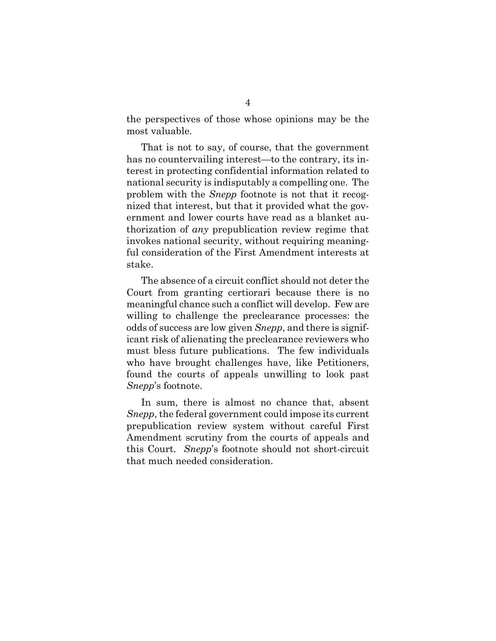the perspectives of those whose opinions may be the most valuable.

That is not to say, of course, that the government has no countervailing interest—to the contrary, its interest in protecting confidential information related to national security is indisputably a compelling one. The problem with the *Snepp* footnote is not that it recognized that interest, but that it provided what the government and lower courts have read as a blanket authorization of *any* prepublication review regime that invokes national security, without requiring meaningful consideration of the First Amendment interests at stake.

The absence of a circuit conflict should not deter the Court from granting certiorari because there is no meaningful chance such a conflict will develop. Few are willing to challenge the preclearance processes: the odds of success are low given *Snepp*, and there is significant risk of alienating the preclearance reviewers who must bless future publications. The few individuals who have brought challenges have, like Petitioners, found the courts of appeals unwilling to look past *Snepp*'s footnote.

In sum, there is almost no chance that, absent *Snepp*, the federal government could impose its current prepublication review system without careful First Amendment scrutiny from the courts of appeals and this Court. *Snepp*'s footnote should not short-circuit that much needed consideration.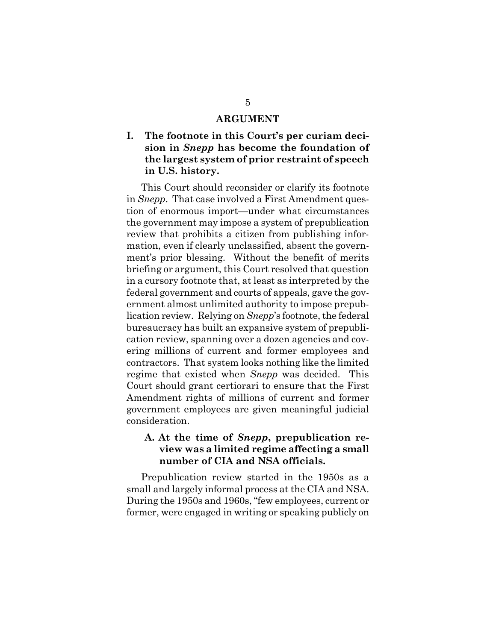#### **ARGUMENT**

## **I. The footnote in this Court's per curiam decision in** *Snepp* **has become the foundation of the largest system of prior restraint of speech in U.S. history.**

 This Court should reconsider or clarify its footnote in *Snepp*. That case involved a First Amendment question of enormous import—under what circumstances the government may impose a system of prepublication review that prohibits a citizen from publishing information, even if clearly unclassified, absent the government's prior blessing. Without the benefit of merits briefing or argument, this Court resolved that question in a cursory footnote that, at least as interpreted by the federal government and courts of appeals, gave the government almost unlimited authority to impose prepublication review. Relying on *Snepp*'s footnote, the federal bureaucracy has built an expansive system of prepublication review, spanning over a dozen agencies and covering millions of current and former employees and contractors. That system looks nothing like the limited regime that existed when *Snepp* was decided. This Court should grant certiorari to ensure that the First Amendment rights of millions of current and former government employees are given meaningful judicial consideration.

## **A. At the time of** *Snepp***, prepublication review was a limited regime affecting a small number of CIA and NSA officials.**

 Prepublication review started in the 1950s as a small and largely informal process at the CIA and NSA. During the 1950s and 1960s, "few employees, current or former, were engaged in writing or speaking publicly on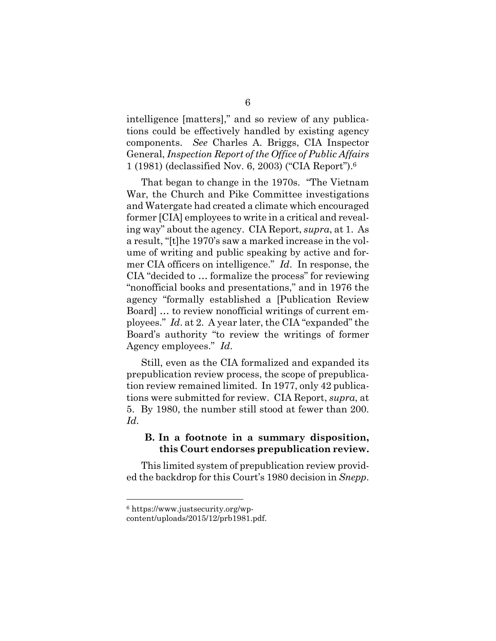intelligence [matters]," and so review of any publications could be effectively handled by existing agency components. *See* Charles A. Briggs, CIA Inspector General, *Inspection Report of the Office of Public Affairs*  1 (1981) (declassified Nov. 6, 2003) ("CIA Report").6

 That began to change in the 1970s. "The Vietnam War, the Church and Pike Committee investigations and Watergate had created a climate which encouraged former [CIA] employees to write in a critical and revealing way" about the agency. CIA Report, *supra*, at 1. As a result, "[t]he 1970's saw a marked increase in the volume of writing and public speaking by active and former CIA officers on intelligence." *Id*. In response, the CIA "decided to … formalize the process" for reviewing "nonofficial books and presentations," and in 1976 the agency "formally established a [Publication Review Board] … to review nonofficial writings of current employees." *Id*. at 2. A year later, the CIA "expanded" the Board's authority "to review the writings of former Agency employees." *Id*.

 Still, even as the CIA formalized and expanded its prepublication review process, the scope of prepublication review remained limited. In 1977, only 42 publications were submitted for review. CIA Report, *supra*, at 5. By 1980, the number still stood at fewer than 200. *Id*.

### **B. In a footnote in a summary disposition, this Court endorses prepublication review.**

 This limited system of prepublication review provided the backdrop for this Court's 1980 decision in *Snepp*.

<sup>6</sup> https://www.justsecurity.org/wp-

content/uploads/2015/12/prb1981.pdf.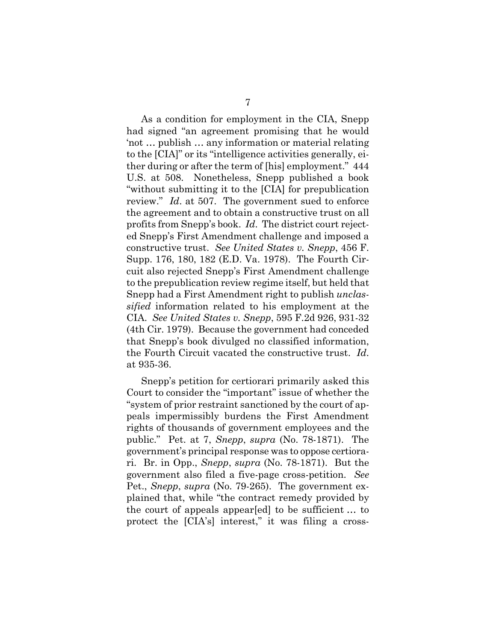As a condition for employment in the CIA, Snepp had signed "an agreement promising that he would 'not … publish … any information or material relating to the [CIA]" or its "intelligence activities generally, either during or after the term of [his] employment." 444 U.S. at 508. Nonetheless, Snepp published a book "without submitting it to the [CIA] for prepublication review." *Id*. at 507. The government sued to enforce the agreement and to obtain a constructive trust on all profits from Snepp's book. *Id*. The district court rejected Snepp's First Amendment challenge and imposed a constructive trust. *See United States v. Snepp*, 456 F. Supp. 176, 180, 182 (E.D. Va. 1978). The Fourth Circuit also rejected Snepp's First Amendment challenge to the prepublication review regime itself, but held that Snepp had a First Amendment right to publish *unclassified* information related to his employment at the CIA. *See United States v. Snepp*, 595 F.2d 926, 931-32 (4th Cir. 1979). Because the government had conceded that Snepp's book divulged no classified information, the Fourth Circuit vacated the constructive trust. *Id*. at 935-36.

 Snepp's petition for certiorari primarily asked this Court to consider the "important" issue of whether the "system of prior restraint sanctioned by the court of appeals impermissibly burdens the First Amendment rights of thousands of government employees and the public." Pet. at 7, *Snepp*, *supra* (No. 78-1871). The government's principal response was to oppose certiorari. Br. in Opp., *Snepp*, *supra* (No. 78-1871). But the government also filed a five-page cross-petition. *See*  Pet., *Snepp*, *supra* (No. 79-265). The government explained that, while "the contract remedy provided by the court of appeals appear[ed] to be sufficient … to protect the [CIA's] interest," it was filing a cross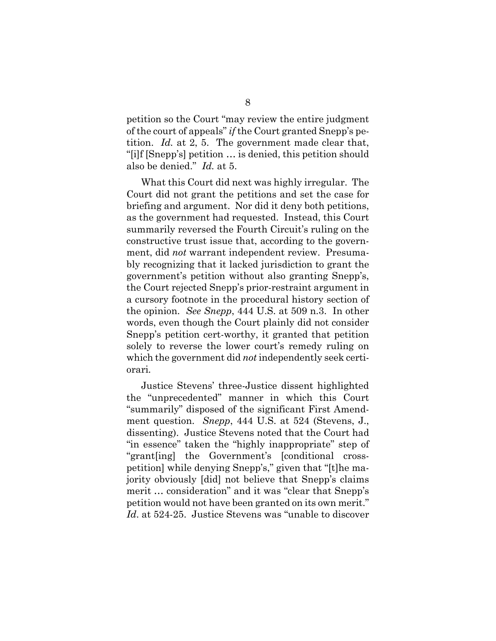petition so the Court "may review the entire judgment of the court of appeals" *if* the Court granted Snepp's petition. *Id.* at 2, 5. The government made clear that, "[i]f [Snepp's] petition … is denied, this petition should also be denied." *Id.* at 5.

 What this Court did next was highly irregular. The Court did not grant the petitions and set the case for briefing and argument. Nor did it deny both petitions, as the government had requested. Instead, this Court summarily reversed the Fourth Circuit's ruling on the constructive trust issue that, according to the government, did *not* warrant independent review. Presumably recognizing that it lacked jurisdiction to grant the government's petition without also granting Snepp's, the Court rejected Snepp's prior-restraint argument in a cursory footnote in the procedural history section of the opinion. *See Snepp*, 444 U.S. at 509 n.3. In other words, even though the Court plainly did not consider Snepp's petition cert-worthy, it granted that petition solely to reverse the lower court's remedy ruling on which the government did *not* independently seek certiorari*.*

 Justice Stevens' three-Justice dissent highlighted the "unprecedented" manner in which this Court "summarily" disposed of the significant First Amendment question. *Snepp*, 444 U.S. at 524 (Stevens, J., dissenting). Justice Stevens noted that the Court had "in essence" taken the "highly inappropriate" step of "grant[ing] the Government's [conditional crosspetition] while denying Snepp's," given that "[t]he majority obviously [did] not believe that Snepp's claims merit … consideration" and it was "clear that Snepp's petition would not have been granted on its own merit." *Id*. at 524-25. Justice Stevens was "unable to discover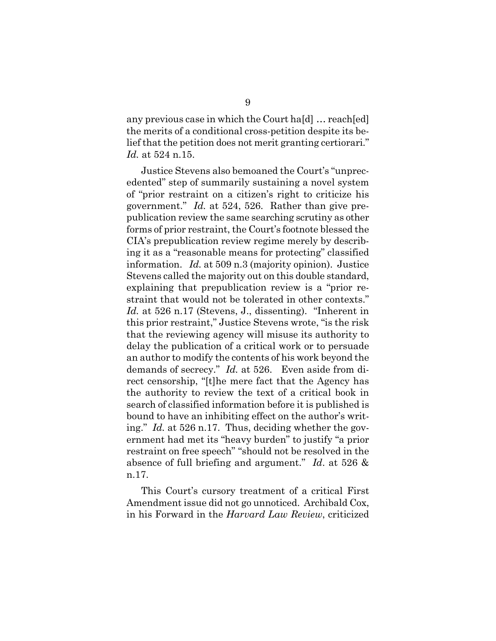any previous case in which the Court ha[d] … reach[ed] the merits of a conditional cross-petition despite its belief that the petition does not merit granting certiorari." *Id.* at 524 n.15.

 Justice Stevens also bemoaned the Court's "unprecedented" step of summarily sustaining a novel system of "prior restraint on a citizen's right to criticize his government." *Id.* at 524, 526. Rather than give prepublication review the same searching scrutiny as other forms of prior restraint, the Court's footnote blessed the CIA's prepublication review regime merely by describing it as a "reasonable means for protecting" classified information. *Id.* at 509 n.3 (majority opinion). Justice Stevens called the majority out on this double standard, explaining that prepublication review is a "prior restraint that would not be tolerated in other contexts." *Id.* at 526 n.17 (Stevens, J., dissenting). "Inherent in this prior restraint," Justice Stevens wrote, "is the risk that the reviewing agency will misuse its authority to delay the publication of a critical work or to persuade an author to modify the contents of his work beyond the demands of secrecy." *Id.* at 526. Even aside from direct censorship, "[t]he mere fact that the Agency has the authority to review the text of a critical book in search of classified information before it is published is bound to have an inhibiting effect on the author's writing." *Id.* at 526 n.17. Thus, deciding whether the government had met its "heavy burden" to justify "a prior restraint on free speech" "should not be resolved in the absence of full briefing and argument." *Id*. at 526 & n.17.

 This Court's cursory treatment of a critical First Amendment issue did not go unnoticed. Archibald Cox, in his Forward in the *Harvard Law Review*, criticized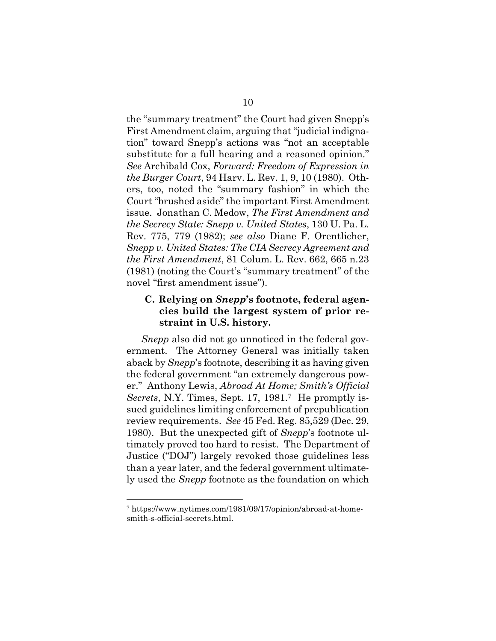the "summary treatment" the Court had given Snepp's First Amendment claim, arguing that "judicial indignation" toward Snepp's actions was "not an acceptable substitute for a full hearing and a reasoned opinion." *See* Archibald Cox, *Forward: Freedom of Expression in the Burger Court*, 94 Harv. L. Rev. 1, 9, 10 (1980). Others, too, noted the "summary fashion" in which the Court "brushed aside" the important First Amendment issue. Jonathan C. Medow, *The First Amendment and the Secrecy State: Snepp v. United States*, 130 U. Pa. L. Rev. 775, 779 (1982); *see also* Diane F. Orentlicher, *Snepp v. United States: The CIA Secrecy Agreement and the First Amendment*, 81 Colum. L. Rev. 662, 665 n.23 (1981) (noting the Court's "summary treatment" of the novel "first amendment issue").

## **C. Relying on** *Snepp***'s footnote, federal agencies build the largest system of prior restraint in U.S. history.**

*Snepp* also did not go unnoticed in the federal government. The Attorney General was initially taken aback by *Snepp*'s footnote, describing it as having given the federal government "an extremely dangerous power." Anthony Lewis, *Abroad At Home; Smith's Official Secrets*, N.Y. Times, Sept. 17, 1981.<sup>7</sup> He promptly issued guidelines limiting enforcement of prepublication review requirements. *See* 45 Fed. Reg. 85,529 (Dec. 29, 1980). But the unexpected gift of *Snepp*'s footnote ultimately proved too hard to resist. The Department of Justice ("DOJ") largely revoked those guidelines less than a year later, and the federal government ultimately used the *Snepp* footnote as the foundation on which

<sup>7</sup> https://www.nytimes.com/1981/09/17/opinion/abroad-at-homesmith-s-official-secrets.html.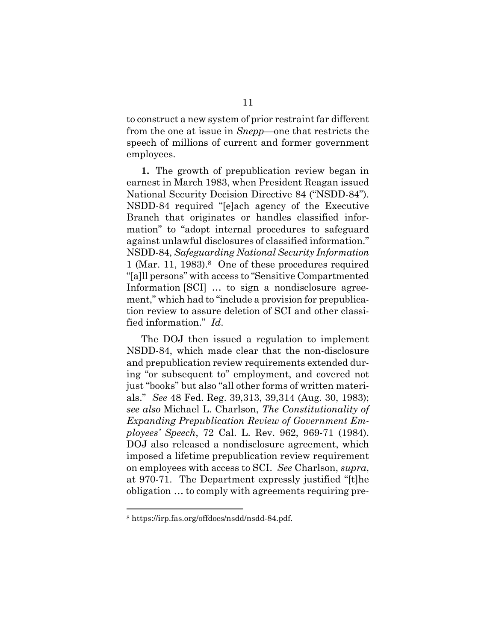to construct a new system of prior restraint far different from the one at issue in *Snepp*—one that restricts the speech of millions of current and former government employees.

**1.** The growth of prepublication review began in earnest in March 1983, when President Reagan issued National Security Decision Directive 84 ("NSDD-84"). NSDD-84 required "[e]ach agency of the Executive Branch that originates or handles classified information" to "adopt internal procedures to safeguard against unlawful disclosures of classified information." NSDD-84, *Safeguarding National Security Information* 1 (Mar. 11, 1983).8 One of these procedures required "[a]ll persons" with access to "Sensitive Compartmented Information [SCI] ... to sign a nondisclosure agreement," which had to "include a provision for prepublication review to assure deletion of SCI and other classified information." *Id*.

 The DOJ then issued a regulation to implement NSDD-84, which made clear that the non-disclosure and prepublication review requirements extended during "or subsequent to" employment, and covered not just "books" but also "all other forms of written materials." *See* 48 Fed. Reg. 39,313, 39,314 (Aug. 30, 1983); *see also* Michael L. Charlson, *The Constitutionality of Expanding Prepublication Review of Government Employees' Speech*, 72 Cal. L. Rev. 962, 969-71 (1984). DOJ also released a nondisclosure agreement, which imposed a lifetime prepublication review requirement on employees with access to SCI. *See* Charlson, *supra*, at 970-71. The Department expressly justified "[t]he obligation … to comply with agreements requiring pre-

<sup>8</sup> https://irp.fas.org/offdocs/nsdd/nsdd-84.pdf.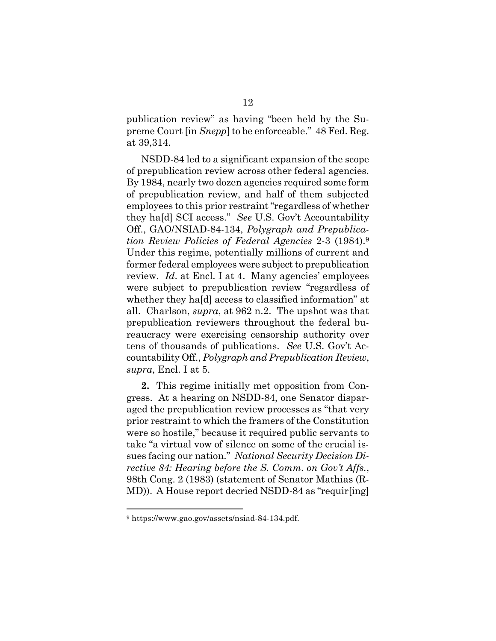publication review" as having "been held by the Supreme Court [in *Snepp*] to be enforceable." 48 Fed. Reg. at 39,314.

 NSDD-84 led to a significant expansion of the scope of prepublication review across other federal agencies. By 1984, nearly two dozen agencies required some form of prepublication review, and half of them subjected employees to this prior restraint "regardless of whether they ha[d] SCI access." *See* U.S. Gov't Accountability Off., GAO/NSIAD-84-134, *Polygraph and Prepublication Review Policies of Federal Agencies* 2-3 (1984).9 Under this regime, potentially millions of current and former federal employees were subject to prepublication review. *Id.* at Encl. I at 4. Many agencies' employees were subject to prepublication review "regardless of whether they ha[d] access to classified information" at all. Charlson, *supra*, at 962 n.2. The upshot was that prepublication reviewers throughout the federal bureaucracy were exercising censorship authority over tens of thousands of publications. *See* U.S. Gov't Accountability Off., *Polygraph and Prepublication Review*, *supra*, Encl. I at 5.

**2.** This regime initially met opposition from Congress. At a hearing on NSDD-84, one Senator disparaged the prepublication review processes as "that very prior restraint to which the framers of the Constitution were so hostile," because it required public servants to take "a virtual vow of silence on some of the crucial issues facing our nation." *National Security Decision Directive 84: Hearing before the S. Comm. on Gov't Affs.*, 98th Cong. 2 (1983) (statement of Senator Mathias (R-MD)). A House report decried NSDD-84 as "requir[ing]

<sup>9</sup> https://www.gao.gov/assets/nsiad-84-134.pdf.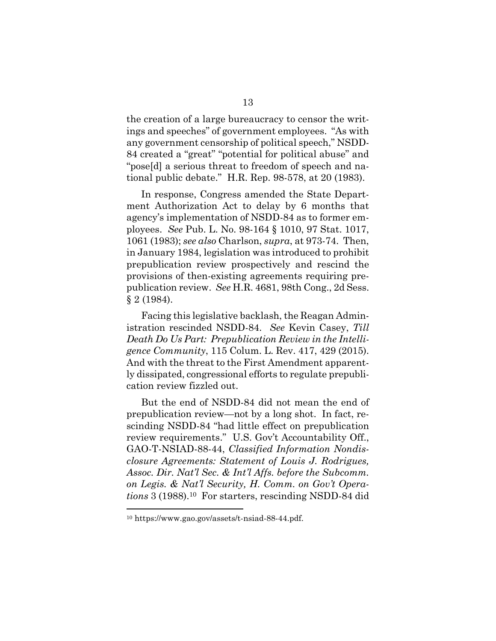the creation of a large bureaucracy to censor the writings and speeches" of government employees. "As with any government censorship of political speech," NSDD-84 created a "great" "potential for political abuse" and "pose[d] a serious threat to freedom of speech and national public debate." H.R. Rep. 98-578, at 20 (1983).

 In response, Congress amended the State Department Authorization Act to delay by 6 months that agency's implementation of NSDD-84 as to former employees. *See* Pub. L. No. 98-164 § 1010, 97 Stat. 1017, 1061 (1983); *see also* Charlson, *supra*, at 973-74. Then, in January 1984, legislation was introduced to prohibit prepublication review prospectively and rescind the provisions of then-existing agreements requiring prepublication review. *See* H.R. 4681, 98th Cong., 2d Sess. § 2 (1984).

 Facing this legislative backlash, the Reagan Administration rescinded NSDD-84. *See* Kevin Casey, *Till Death Do Us Part: Prepublication Review in the Intelligence Community*, 115 Colum. L. Rev. 417, 429 (2015). And with the threat to the First Amendment apparently dissipated, congressional efforts to regulate prepublication review fizzled out.

 But the end of NSDD-84 did not mean the end of prepublication review—not by a long shot. In fact, rescinding NSDD-84 "had little effect on prepublication review requirements." U.S. Gov't Accountability Off., GAO-T-NSIAD-88-44, *Classified Information Nondisclosure Agreements: Statement of Louis J. Rodrigues, Assoc. Dir. Nat'l Sec. & Int'l Affs. before the Subcomm. on Legis. & Nat'l Security, H. Comm. on Gov't Operations* 3 (1988).10 For starters, rescinding NSDD-84 did

<sup>10</sup> https://www.gao.gov/assets/t-nsiad-88-44.pdf.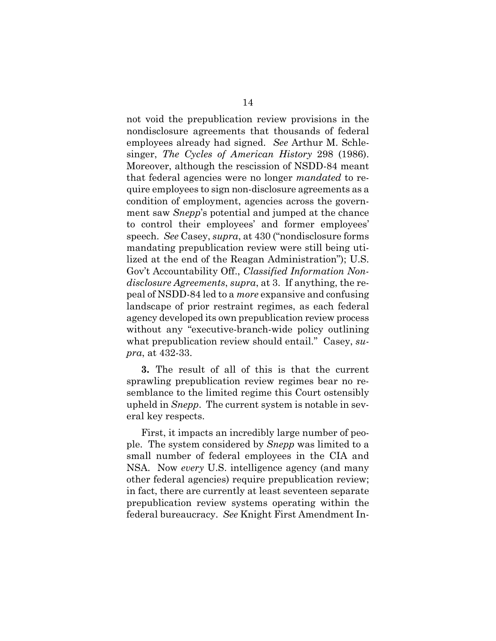not void the prepublication review provisions in the nondisclosure agreements that thousands of federal employees already had signed. *See* Arthur M. Schlesinger, *The Cycles of American History* 298 (1986). Moreover, although the rescission of NSDD-84 meant that federal agencies were no longer *mandated* to require employees to sign non-disclosure agreements as a condition of employment, agencies across the government saw *Snepp*'s potential and jumped at the chance to control their employees' and former employees' speech. *See* Casey, *supra*, at 430 ("nondisclosure forms mandating prepublication review were still being utilized at the end of the Reagan Administration"); U.S. Gov't Accountability Off., *Classified Information Nondisclosure Agreements*, *supra*, at 3. If anything, the repeal of NSDD-84 led to a *more* expansive and confusing landscape of prior restraint regimes, as each federal agency developed its own prepublication review process without any "executive-branch-wide policy outlining what prepublication review should entail." Casey, *supra*, at 432-33.

**3.** The result of all of this is that the current sprawling prepublication review regimes bear no resemblance to the limited regime this Court ostensibly upheld in *Snepp*. The current system is notable in several key respects.

 First, it impacts an incredibly large number of people. The system considered by *Snepp* was limited to a small number of federal employees in the CIA and NSA. Now *every* U.S. intelligence agency (and many other federal agencies) require prepublication review; in fact, there are currently at least seventeen separate prepublication review systems operating within the federal bureaucracy. *See* Knight First Amendment In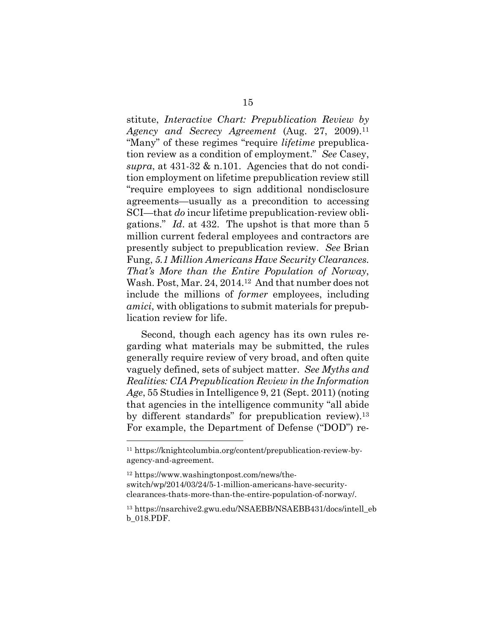stitute, *Interactive Chart: Prepublication Review by Agency and Secrecy Agreement* (Aug. 27, 2009).11 "Many" of these regimes "require *lifetime* prepublication review as a condition of employment." *See* Casey, *supra*, at 431-32 & n.101. Agencies that do not condition employment on lifetime prepublication review still "require employees to sign additional nondisclosure agreements—usually as a precondition to accessing SCI—that *do* incur lifetime prepublication-review obligations." *Id*. at 432. The upshot is that more than 5 million current federal employees and contractors are presently subject to prepublication review. *See* Brian Fung, *5.1 Million Americans Have Security Clearances. That's More than the Entire Population of Norway*, Wash. Post, Mar. 24, 2014.12 And that number does not include the millions of *former* employees, including *amici*, with obligations to submit materials for prepublication review for life.

 Second, though each agency has its own rules regarding what materials may be submitted, the rules generally require review of very broad, and often quite vaguely defined, sets of subject matter. *See Myths and Realities: CIA Prepublication Review in the Information Age*, 55 Studies in Intelligence 9, 21 (Sept. 2011) (noting that agencies in the intelligence community "all abide by different standards" for prepublication review).13 For example, the Department of Defense ("DOD") re-

<sup>11</sup> https://knightcolumbia.org/content/prepublication-review-byagency-and-agreement.

<sup>12</sup> https://www.washingtonpost.com/news/theswitch/wp/2014/03/24/5-1-million-americans-have-securityclearances-thats-more-than-the-entire-population-of-norway/.

<sup>13</sup> https://nsarchive2.gwu.edu/NSAEBB/NSAEBB431/docs/intell\_eb b\_018.PDF.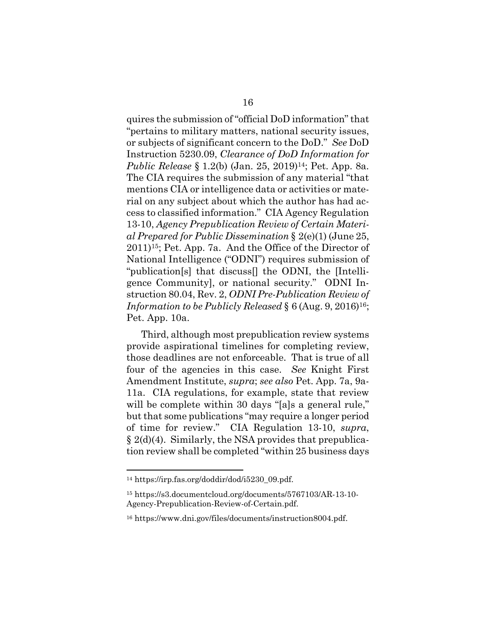quires the submission of "official DoD information" that "pertains to military matters, national security issues, or subjects of significant concern to the DoD." *See* DoD Instruction 5230.09, *Clearance of DoD Information for Public Release* § 1.2(b) (Jan. 25, 2019)14; Pet. App. 8a. The CIA requires the submission of any material "that mentions CIA or intelligence data or activities or material on any subject about which the author has had access to classified information." CIA Agency Regulation 13-10, *Agency Prepublication Review of Certain Material Prepared for Public Dissemination* § 2(e)(1) (June 25, 2011)15; Pet. App. 7a. And the Office of the Director of National Intelligence ("ODNI") requires submission of "publication[s] that discuss[] the ODNI, the [Intelligence Community], or national security." ODNI Instruction 80.04, Rev. 2, *ODNI Pre-Publication Review of Information to be Publicly Released* § 6 (Aug. 9, 2016)<sup>16</sup>; Pet. App. 10a.

 Third, although most prepublication review systems provide aspirational timelines for completing review, those deadlines are not enforceable. That is true of all four of the agencies in this case. *See* Knight First Amendment Institute, *supra*; *see also* Pet. App. 7a, 9a-11a. CIA regulations, for example, state that review will be complete within 30 days "[a]s a general rule," but that some publications "may require a longer period of time for review." CIA Regulation 13-10, *supra*, § 2(d)(4). Similarly, the NSA provides that prepublication review shall be completed "within 25 business days

<sup>14</sup> https://irp.fas.org/doddir/dod/i5230\_09.pdf.

<sup>15</sup> https://s3.documentcloud.org/documents/5767103/AR-13-10- Agency-Prepublication-Review-of-Certain.pdf.

<sup>16</sup> https://www.dni.gov/files/documents/instruction8004.pdf.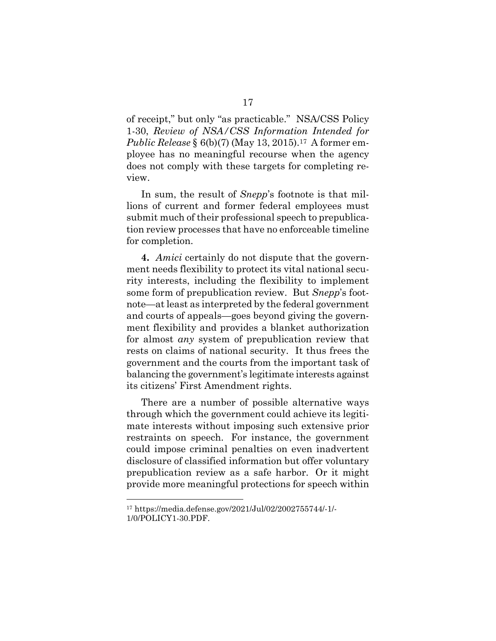of receipt," but only "as practicable." NSA/CSS Policy 1-30, *Review of NSA/CSS Information Intended for Public Release* § 6(b)(7) (May 13, 2015).17A former employee has no meaningful recourse when the agency does not comply with these targets for completing review.

 In sum, the result of *Snepp*'s footnote is that millions of current and former federal employees must submit much of their professional speech to prepublication review processes that have no enforceable timeline for completion.

**4.** *Amici* certainly do not dispute that the government needs flexibility to protect its vital national security interests, including the flexibility to implement some form of prepublication review. But *Snepp*'s footnote—at least as interpreted by the federal government and courts of appeals—goes beyond giving the government flexibility and provides a blanket authorization for almost *any* system of prepublication review that rests on claims of national security. It thus frees the government and the courts from the important task of balancing the government's legitimate interests against its citizens' First Amendment rights.

 There are a number of possible alternative ways through which the government could achieve its legitimate interests without imposing such extensive prior restraints on speech. For instance, the government could impose criminal penalties on even inadvertent disclosure of classified information but offer voluntary prepublication review as a safe harbor. Or it might provide more meaningful protections for speech within

<sup>17</sup> https://media.defense.gov/2021/Jul/02/2002755744/-1/- 1/0/POLICY1-30.PDF.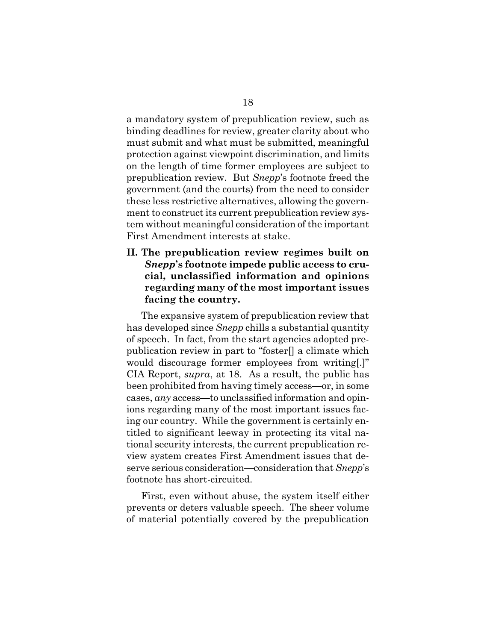a mandatory system of prepublication review, such as binding deadlines for review, greater clarity about who must submit and what must be submitted, meaningful protection against viewpoint discrimination, and limits on the length of time former employees are subject to prepublication review. But *Snepp*'s footnote freed the government (and the courts) from the need to consider these less restrictive alternatives, allowing the government to construct its current prepublication review system without meaningful consideration of the important First Amendment interests at stake.

## **II. The prepublication review regimes built on**  *Snepp***'s footnote impede public access to crucial, unclassified information and opinions regarding many of the most important issues facing the country.**

 The expansive system of prepublication review that has developed since *Snepp* chills a substantial quantity of speech. In fact, from the start agencies adopted prepublication review in part to "foster[] a climate which would discourage former employees from writing[.]" CIA Report, *supra*, at 18. As a result, the public has been prohibited from having timely access—or, in some cases, *any* access—to unclassified information and opinions regarding many of the most important issues facing our country. While the government is certainly entitled to significant leeway in protecting its vital national security interests, the current prepublication review system creates First Amendment issues that deserve serious consideration—consideration that *Snepp*'s footnote has short-circuited.

 First, even without abuse, the system itself either prevents or deters valuable speech. The sheer volume of material potentially covered by the prepublication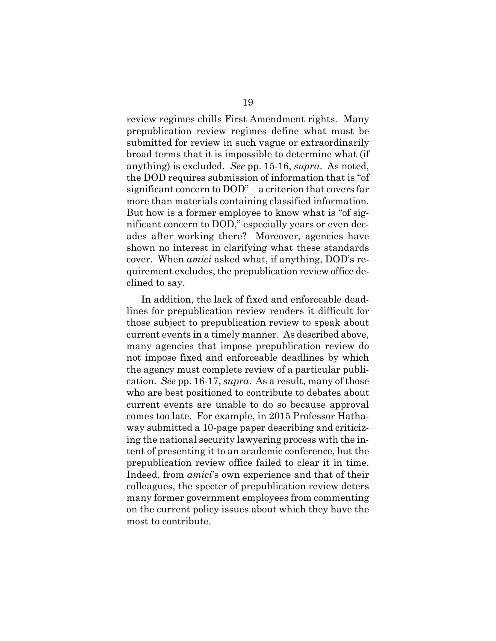review regimes chills First Amendment rights. Many prepublication review regimes define what must be submitted for review in such vague or extraordinarily broad terms that it is impossible to determine what (if anything) is excluded. *See* pp. 15-16, *supra*. As noted, the DOD requires submission of information that is "of significant concern to DOD"—a criterion that covers far more than materials containing classified information. But how is a former employee to know what is "of significant concern to DOD," especially years or even decades after working there? Moreover, agencies have shown no interest in clarifying what these standards cover. When *amici* asked what, if anything, DOD's requirement excludes, the prepublication review office declined to say.

 In addition, the lack of fixed and enforceable deadlines for prepublication review renders it difficult for those subject to prepublication review to speak about current events in a timely manner. As described above, many agencies that impose prepublication review do not impose fixed and enforceable deadlines by which the agency must complete review of a particular publication. *See* pp. 16-17, *supra*. As a result, many of those who are best positioned to contribute to debates about current events are unable to do so because approval comes too late. For example, in 2015 Professor Hathaway submitted a 10-page paper describing and criticizing the national security lawyering process with the intent of presenting it to an academic conference, but the prepublication review office failed to clear it in time. Indeed, from *amici*'s own experience and that of their colleagues, the specter of prepublication review deters many former government employees from commenting on the current policy issues about which they have the most to contribute.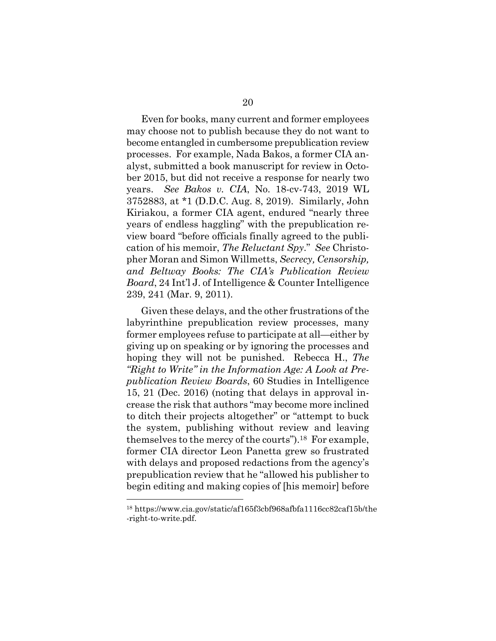Even for books, many current and former employees may choose not to publish because they do not want to become entangled in cumbersome prepublication review processes. For example, Nada Bakos, a former CIA analyst, submitted a book manuscript for review in October 2015, but did not receive a response for nearly two years. *See Bakos v. CIA*, No. 18-cv-743, 2019 WL 3752883, at \*1 (D.D.C. Aug. 8, 2019). Similarly, John Kiriakou, a former CIA agent, endured "nearly three years of endless haggling" with the prepublication review board "before officials finally agreed to the publication of his memoir, *The Reluctant Spy*." *See* Christopher Moran and Simon Willmetts, *Secrecy, Censorship, and Beltway Books: The CIA's Publication Review Board*, 24 Int'l J. of Intelligence & Counter Intelligence 239, 241 (Mar. 9, 2011).

 Given these delays, and the other frustrations of the labyrinthine prepublication review processes, many former employees refuse to participate at all—either by giving up on speaking or by ignoring the processes and hoping they will not be punished. Rebecca H., *The "Right to Write" in the Information Age: A Look at Prepublication Review Boards*, 60 Studies in Intelligence 15, 21 (Dec. 2016) (noting that delays in approval increase the risk that authors "may become more inclined to ditch their projects altogether" or "attempt to buck the system, publishing without review and leaving themselves to the mercy of the courts").18 For example, former CIA director Leon Panetta grew so frustrated with delays and proposed redactions from the agency's prepublication review that he "allowed his publisher to begin editing and making copies of [his memoir] before

<sup>18</sup> https://www.cia.gov/static/af165f3cbf968afbfa1116cc82caf15b/the -right-to-write.pdf.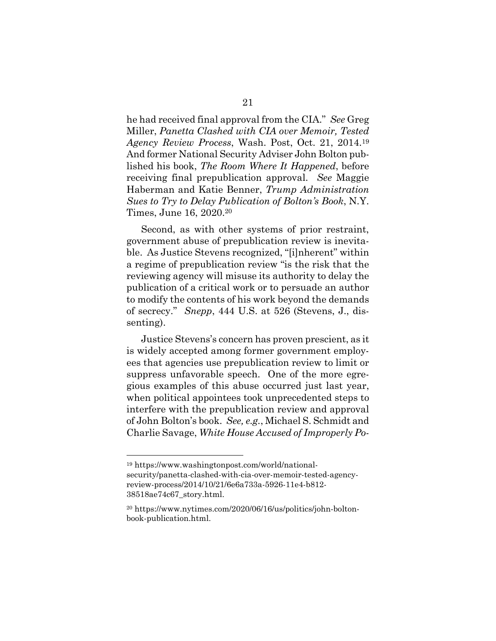he had received final approval from the CIA." *See* Greg Miller, *Panetta Clashed with CIA over Memoir, Tested Agency Review Process*, Wash. Post, Oct. 21, 2014.19 And former National Security Adviser John Bolton published his book, *The Room Where It Happened*, before receiving final prepublication approval. *See* Maggie Haberman and Katie Benner, *Trump Administration Sues to Try to Delay Publication of Bolton's Book*, N.Y. Times, June 16, 2020.20

 Second, as with other systems of prior restraint, government abuse of prepublication review is inevitable. As Justice Stevens recognized, "[i]nherent" within a regime of prepublication review "is the risk that the reviewing agency will misuse its authority to delay the publication of a critical work or to persuade an author to modify the contents of his work beyond the demands of secrecy." *Snepp*, 444 U.S. at 526 (Stevens, J., dissenting).

 Justice Stevens's concern has proven prescient, as it is widely accepted among former government employees that agencies use prepublication review to limit or suppress unfavorable speech. One of the more egregious examples of this abuse occurred just last year, when political appointees took unprecedented steps to interfere with the prepublication review and approval of John Bolton's book. *See, e.g.*, Michael S. Schmidt and Charlie Savage, *White House Accused of Improperly Po-*

<sup>19</sup> https://www.washingtonpost.com/world/nationalsecurity/panetta-clashed-with-cia-over-memoir-tested-agencyreview-process/2014/10/21/6e6a733a-5926-11e4-b812- 38518ae74c67\_story.html.

<sup>20</sup> https://www.nytimes.com/2020/06/16/us/politics/john-boltonbook-publication.html.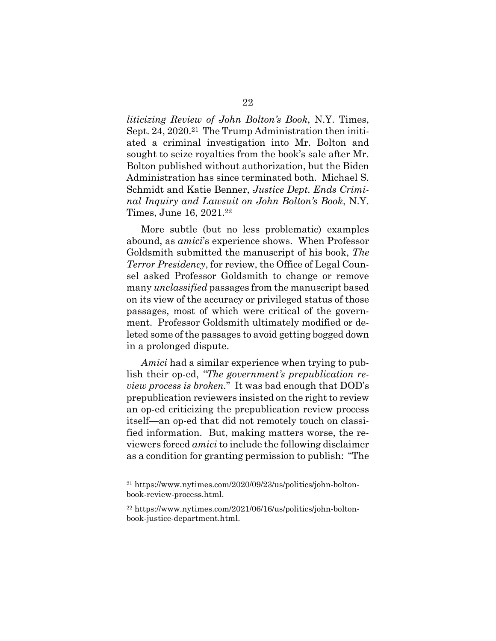*liticizing Review of John Bolton's Book*, N.Y. Times, Sept. 24, 2020.21 The Trump Administration then initiated a criminal investigation into Mr. Bolton and sought to seize royalties from the book's sale after Mr. Bolton published without authorization, but the Biden Administration has since terminated both. Michael S. Schmidt and Katie Benner, *Justice Dept. Ends Criminal Inquiry and Lawsuit on John Bolton's Book*, N.Y. Times, June 16, 2021.22

 More subtle (but no less problematic) examples abound, as *amici*'s experience shows. When Professor Goldsmith submitted the manuscript of his book, *The Terror Presidency*, for review, the Office of Legal Counsel asked Professor Goldsmith to change or remove many *unclassified* passages from the manuscript based on its view of the accuracy or privileged status of those passages, most of which were critical of the government. Professor Goldsmith ultimately modified or deleted some of the passages to avoid getting bogged down in a prolonged dispute.

*Amici* had a similar experience when trying to publish their op-ed, *"The government's prepublication review process is broken.*" It was bad enough that DOD's prepublication reviewers insisted on the right to review an op-ed criticizing the prepublication review process itself—an op-ed that did not remotely touch on classified information. But, making matters worse, the reviewers forced *amici* to include the following disclaimer as a condition for granting permission to publish: "The

<sup>21</sup> https://www.nytimes.com/2020/09/23/us/politics/john-boltonbook-review-process.html.

<sup>22</sup> https://www.nytimes.com/2021/06/16/us/politics/john-boltonbook-justice-department.html.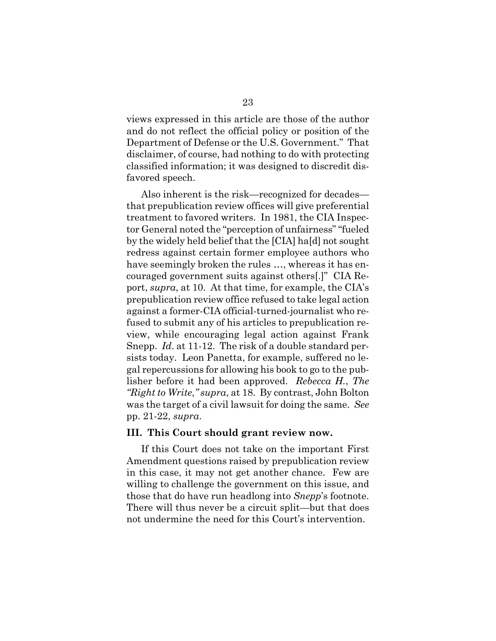views expressed in this article are those of the author and do not reflect the official policy or position of the Department of Defense or the U.S. Government." That disclaimer, of course, had nothing to do with protecting classified information; it was designed to discredit disfavored speech.

 Also inherent is the risk—recognized for decades that prepublication review offices will give preferential treatment to favored writers. In 1981, the CIA Inspector General noted the "perception of unfairness" "fueled by the widely held belief that the [CIA] ha[d] not sought redress against certain former employee authors who have seemingly broken the rules …, whereas it has encouraged government suits against others[.]" CIA Report, *supra*, at 10. At that time, for example, the CIA's prepublication review office refused to take legal action against a former-CIA official-turned-journalist who refused to submit any of his articles to prepublication review, while encouraging legal action against Frank Snepp. *Id*. at 11-12. The risk of a double standard persists today. Leon Panetta, for example, suffered no legal repercussions for allowing his book to go to the publisher before it had been approved. *Rebecca H.*, *The "Right to Write*,*" supra*, at 18. By contrast, John Bolton was the target of a civil lawsuit for doing the same. *See*  pp. 21-22, *supra*.

#### **III. This Court should grant review now.**

 If this Court does not take on the important First Amendment questions raised by prepublication review in this case, it may not get another chance. Few are willing to challenge the government on this issue, and those that do have run headlong into *Snepp*'s footnote. There will thus never be a circuit split—but that does not undermine the need for this Court's intervention.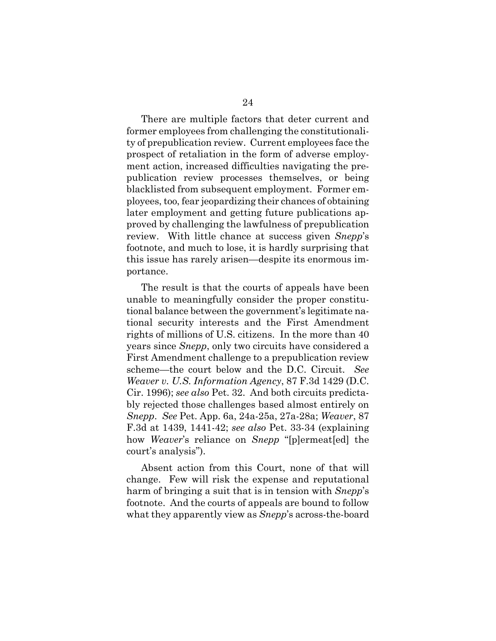There are multiple factors that deter current and former employees from challenging the constitutionality of prepublication review. Current employees face the prospect of retaliation in the form of adverse employment action, increased difficulties navigating the prepublication review processes themselves, or being blacklisted from subsequent employment. Former employees, too, fear jeopardizing their chances of obtaining later employment and getting future publications approved by challenging the lawfulness of prepublication review. With little chance at success given *Snepp*'s footnote, and much to lose, it is hardly surprising that this issue has rarely arisen—despite its enormous importance.

 The result is that the courts of appeals have been unable to meaningfully consider the proper constitutional balance between the government's legitimate national security interests and the First Amendment rights of millions of U.S. citizens. In the more than 40 years since *Snepp*, only two circuits have considered a First Amendment challenge to a prepublication review scheme—the court below and the D.C. Circuit. *See Weaver v. U.S. Information Agency*, 87 F.3d 1429 (D.C. Cir. 1996); *see also* Pet. 32. And both circuits predictably rejected those challenges based almost entirely on *Snepp*. *See* Pet. App. 6a, 24a-25a, 27a-28a; *Weaver*, 87 F.3d at 1439, 1441-42; *see also* Pet. 33-34 (explaining how *Weaver*'s reliance on *Snepp* "[p]ermeat[ed] the court's analysis").

 Absent action from this Court, none of that will change. Few will risk the expense and reputational harm of bringing a suit that is in tension with *Snepp*'s footnote. And the courts of appeals are bound to follow what they apparently view as *Snepp*'s across-the-board